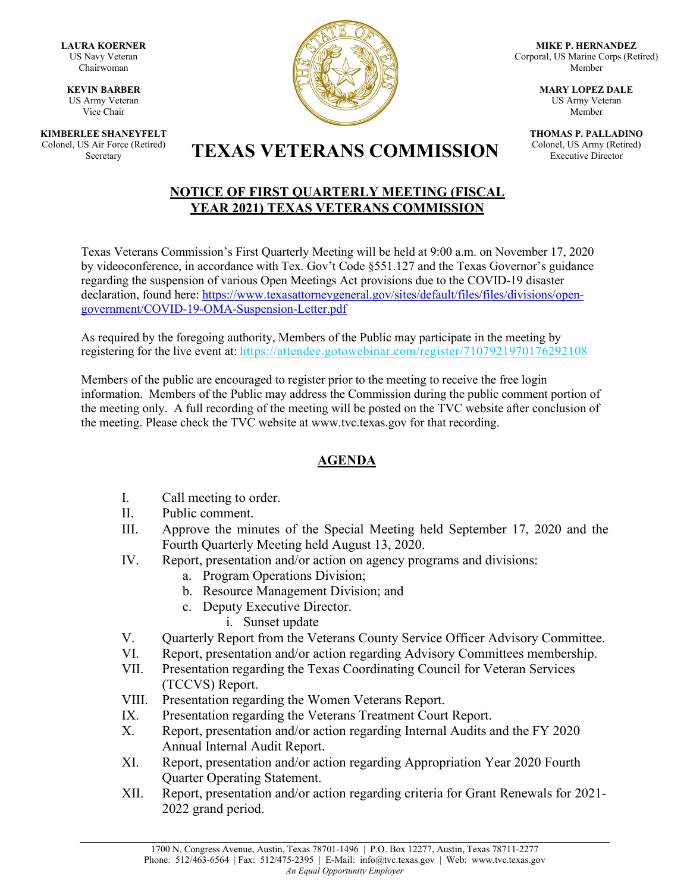**LAURA KOERNER** US Navy Veteran Chairwoman

**KEVIN BARBER** US Army Veteran Vice Chair

**KIMBERLEE SHANEYFELT** Colonel, US Air Force (Retired)



**MIKE P. HERNANDEZ** Corporal, US Marine Corps (Retired) Member

> **MARY LOPEZ DALE** US Army Veteran Member

**THOMAS P. PALLADINO** Colonel, US Army (Retired) Executive Director

## S Air Force (Retired) **TEXAS VETERANS COMMISSION**

## **NOTICE OF FIRST QUARTERLY MEETING (FISCAL YEAR 2021) TEXAS VETERANS COMMISSION**

Texas Veterans Commission's First Quarterly Meeting will be held at 9:00 a.m. on November 17, 2020 by videoconference, in accordance with Tex. Gov't Code §551.127 and the Texas Governor's guidance regarding the suspension of various Open Meetings Act provisions due to the COVID-19 disaster declaration, found here: [https://www.texasattorneygeneral.gov/sites/default/files/files/divisions/open](https://www.texasattorneygeneral.gov/sites/default/files/files/divisions/open-government/COVID-19-OMA-Suspension-Letter.pdf)[government/COVID-19-OMA-Suspension-Letter.pdf](https://www.texasattorneygeneral.gov/sites/default/files/files/divisions/open-government/COVID-19-OMA-Suspension-Letter.pdf)

As required by the foregoing authority, Members of the Public may participate in the meeting by registering for the live event at:<https://attendee.gotowebinar.com/register/7107921970176292108>

Members of the public are encouraged to register prior to the meeting to receive the free login information. Members of the Public may address the Commission during the public comment portion of the meeting only. A full recording of the meeting will be posted on the TVC website after conclusion of the meeting. Please check the TVC website at [www.tvc.texas.gov](http://www.tvc.texas.gov/) for that recording.

## **AGENDA**

- I. Call meeting to order.
- II. Public comment.
- III. Approve the minutes of the Special Meeting held September 17, 2020 and the Fourth Quarterly Meeting held August 13, 2020.
- IV. Report, presentation and/or action on agency programs and divisions:
	- a. Program Operations Division;
	- b. Resource Management Division; and
	- c. Deputy Executive Director.
		- i. Sunset update
- V. Quarterly Report from the Veterans County Service Officer Advisory Committee.
- VI. Report, presentation and/or action regarding Advisory Committees membership.
- VII. Presentation regarding the Texas Coordinating Council for Veteran Services (TCCVS) Report.
- VIII. Presentation regarding the Women Veterans Report.
- IX. Presentation regarding the Veterans Treatment Court Report.
- X. Report, presentation and/or action regarding Internal Audits and the FY 2020 Annual Internal Audit Report.
- XI. Report, presentation and/or action regarding Appropriation Year 2020 Fourth Quarter Operating Statement.
- XII. Report, presentation and/or action regarding criteria for Grant Renewals for 2021- 2022 grand period.